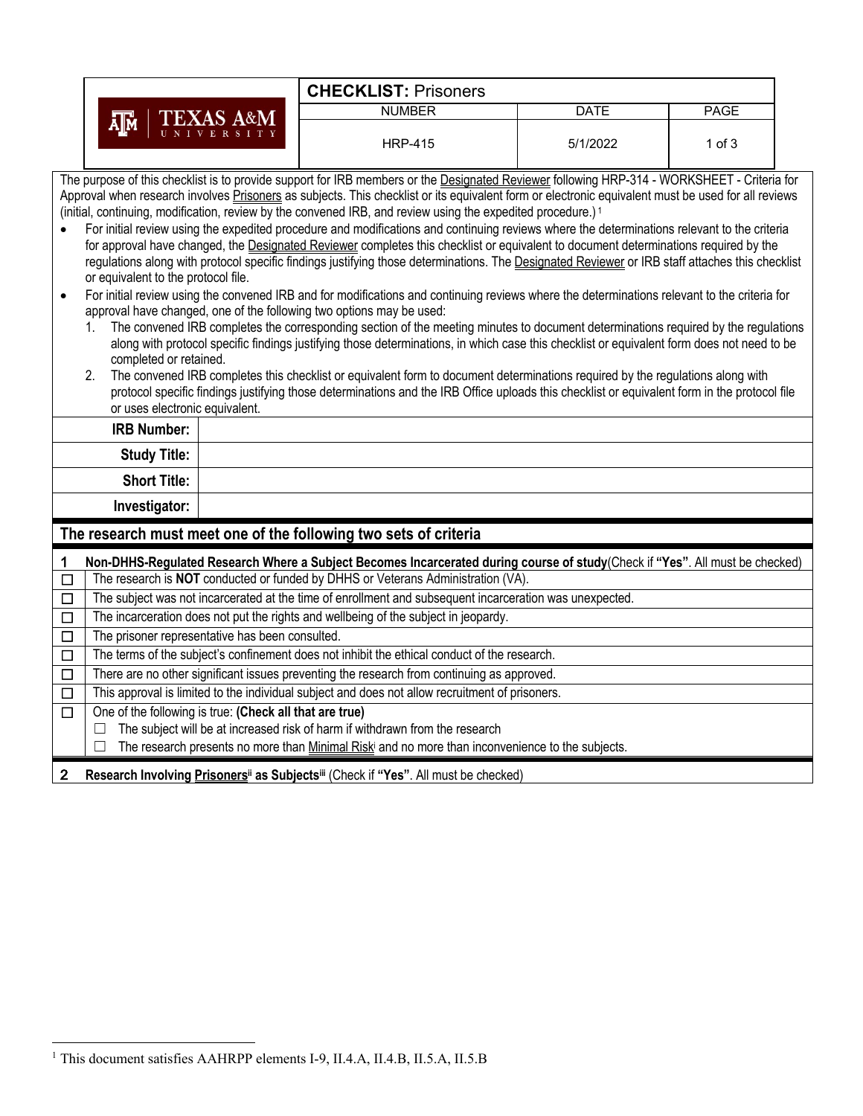|                           |                                                                                                                                                                                                                                                                                                                                                                                                                                                                                                                                                                                                                                                                                                                                                                                                                                                                                                                                                                                                                                                                                                                                                                                                                                                                                                                                                                                                                                                                                                                                                                                                                                                                                                                                                                               |  | <b>CHECKLIST: Prisoners</b>                                                                                                  |             |             |  |  |  |  |  |
|---------------------------|-------------------------------------------------------------------------------------------------------------------------------------------------------------------------------------------------------------------------------------------------------------------------------------------------------------------------------------------------------------------------------------------------------------------------------------------------------------------------------------------------------------------------------------------------------------------------------------------------------------------------------------------------------------------------------------------------------------------------------------------------------------------------------------------------------------------------------------------------------------------------------------------------------------------------------------------------------------------------------------------------------------------------------------------------------------------------------------------------------------------------------------------------------------------------------------------------------------------------------------------------------------------------------------------------------------------------------------------------------------------------------------------------------------------------------------------------------------------------------------------------------------------------------------------------------------------------------------------------------------------------------------------------------------------------------------------------------------------------------------------------------------------------------|--|------------------------------------------------------------------------------------------------------------------------------|-------------|-------------|--|--|--|--|--|
| <b>TEXAS A&amp;M</b><br>ᄴ |                                                                                                                                                                                                                                                                                                                                                                                                                                                                                                                                                                                                                                                                                                                                                                                                                                                                                                                                                                                                                                                                                                                                                                                                                                                                                                                                                                                                                                                                                                                                                                                                                                                                                                                                                                               |  | <b>NUMBER</b>                                                                                                                | <b>DATE</b> | <b>PAGE</b> |  |  |  |  |  |
|                           |                                                                                                                                                                                                                                                                                                                                                                                                                                                                                                                                                                                                                                                                                                                                                                                                                                                                                                                                                                                                                                                                                                                                                                                                                                                                                                                                                                                                                                                                                                                                                                                                                                                                                                                                                                               |  | <b>HRP-415</b>                                                                                                               | 5/1/2022    | $1$ of $3$  |  |  |  |  |  |
| $\bullet$<br>$\bullet$    | The purpose of this checklist is to provide support for IRB members or the Designated Reviewer following HRP-314 - WORKSHEET - Criteria for<br>Approval when research involves Prisoners as subjects. This checklist or its equivalent form or electronic equivalent must be used for all reviews<br>(initial, continuing, modification, review by the convened IRB, and review using the expedited procedure.) <sup>1</sup><br>For initial review using the expedited procedure and modifications and continuing reviews where the determinations relevant to the criteria<br>for approval have changed, the Designated Reviewer completes this checklist or equivalent to document determinations required by the<br>regulations along with protocol specific findings justifying those determinations. The Designated Reviewer or IRB staff attaches this checklist<br>or equivalent to the protocol file.<br>For initial review using the convened IRB and for modifications and continuing reviews where the determinations relevant to the criteria for<br>approval have changed, one of the following two options may be used:<br>The convened IRB completes the corresponding section of the meeting minutes to document determinations required by the regulations<br>along with protocol specific findings justifying those determinations, in which case this checklist or equivalent form does not need to be<br>completed or retained.<br>The convened IRB completes this checklist or equivalent form to document determinations required by the regulations along with<br>2.<br>protocol specific findings justifying those determinations and the IRB Office uploads this checklist or equivalent form in the protocol file<br>or uses electronic equivalent. |  |                                                                                                                              |             |             |  |  |  |  |  |
|                           | <b>IRB Number:</b>                                                                                                                                                                                                                                                                                                                                                                                                                                                                                                                                                                                                                                                                                                                                                                                                                                                                                                                                                                                                                                                                                                                                                                                                                                                                                                                                                                                                                                                                                                                                                                                                                                                                                                                                                            |  |                                                                                                                              |             |             |  |  |  |  |  |
|                           | <b>Study Title:</b>                                                                                                                                                                                                                                                                                                                                                                                                                                                                                                                                                                                                                                                                                                                                                                                                                                                                                                                                                                                                                                                                                                                                                                                                                                                                                                                                                                                                                                                                                                                                                                                                                                                                                                                                                           |  |                                                                                                                              |             |             |  |  |  |  |  |
|                           | <b>Short Title:</b>                                                                                                                                                                                                                                                                                                                                                                                                                                                                                                                                                                                                                                                                                                                                                                                                                                                                                                                                                                                                                                                                                                                                                                                                                                                                                                                                                                                                                                                                                                                                                                                                                                                                                                                                                           |  |                                                                                                                              |             |             |  |  |  |  |  |
|                           | Investigator:                                                                                                                                                                                                                                                                                                                                                                                                                                                                                                                                                                                                                                                                                                                                                                                                                                                                                                                                                                                                                                                                                                                                                                                                                                                                                                                                                                                                                                                                                                                                                                                                                                                                                                                                                                 |  |                                                                                                                              |             |             |  |  |  |  |  |
|                           |                                                                                                                                                                                                                                                                                                                                                                                                                                                                                                                                                                                                                                                                                                                                                                                                                                                                                                                                                                                                                                                                                                                                                                                                                                                                                                                                                                                                                                                                                                                                                                                                                                                                                                                                                                               |  | The research must meet one of the following two sets of criteria                                                             |             |             |  |  |  |  |  |
| 1                         |                                                                                                                                                                                                                                                                                                                                                                                                                                                                                                                                                                                                                                                                                                                                                                                                                                                                                                                                                                                                                                                                                                                                                                                                                                                                                                                                                                                                                                                                                                                                                                                                                                                                                                                                                                               |  | Non-DHHS-Regulated Research Where a Subject Becomes Incarcerated during course of study(Check if "Yes". All must be checked) |             |             |  |  |  |  |  |
| $\overline{\Box}$         | The research is NOT conducted or funded by DHHS or Veterans Administration (VA).                                                                                                                                                                                                                                                                                                                                                                                                                                                                                                                                                                                                                                                                                                                                                                                                                                                                                                                                                                                                                                                                                                                                                                                                                                                                                                                                                                                                                                                                                                                                                                                                                                                                                              |  |                                                                                                                              |             |             |  |  |  |  |  |
| $\Box$                    |                                                                                                                                                                                                                                                                                                                                                                                                                                                                                                                                                                                                                                                                                                                                                                                                                                                                                                                                                                                                                                                                                                                                                                                                                                                                                                                                                                                                                                                                                                                                                                                                                                                                                                                                                                               |  | The subject was not incarcerated at the time of enrollment and subsequent incarceration was unexpected.                      |             |             |  |  |  |  |  |
| $\overline{\Box}$         |                                                                                                                                                                                                                                                                                                                                                                                                                                                                                                                                                                                                                                                                                                                                                                                                                                                                                                                                                                                                                                                                                                                                                                                                                                                                                                                                                                                                                                                                                                                                                                                                                                                                                                                                                                               |  | The incarceration does not put the rights and wellbeing of the subject in jeopardy.                                          |             |             |  |  |  |  |  |
| $\overline{\square}$      | The prisoner representative has been consulted.                                                                                                                                                                                                                                                                                                                                                                                                                                                                                                                                                                                                                                                                                                                                                                                                                                                                                                                                                                                                                                                                                                                                                                                                                                                                                                                                                                                                                                                                                                                                                                                                                                                                                                                               |  |                                                                                                                              |             |             |  |  |  |  |  |
| $\overline{\Box}$         | The terms of the subject's confinement does not inhibit the ethical conduct of the research.                                                                                                                                                                                                                                                                                                                                                                                                                                                                                                                                                                                                                                                                                                                                                                                                                                                                                                                                                                                                                                                                                                                                                                                                                                                                                                                                                                                                                                                                                                                                                                                                                                                                                  |  |                                                                                                                              |             |             |  |  |  |  |  |
| $\overline{\Box}$         | There are no other significant issues preventing the research from continuing as approved.                                                                                                                                                                                                                                                                                                                                                                                                                                                                                                                                                                                                                                                                                                                                                                                                                                                                                                                                                                                                                                                                                                                                                                                                                                                                                                                                                                                                                                                                                                                                                                                                                                                                                    |  |                                                                                                                              |             |             |  |  |  |  |  |

☐ This approval is limited to the individual subject and does not allow recruitment of prisoners.

☐ One of the following is true: **(Check all that are true)**

 $\Box$  The subject will be at increased risk of harm if withdrawn from the research

□ The research presents no more than **Minimal Risk**<sup>i</sup> and no more than inconvenience to the subjects.

2 Research Involving Prisoners<sup>ii</sup> as Subjects<sup>iii</sup> (Check if "Yes". All must be checked)

<sup>&</sup>lt;sup>1</sup> This document satisfies AAHRPP elements I-9, II.4.A, II.4.B, II.5.A, II.5.B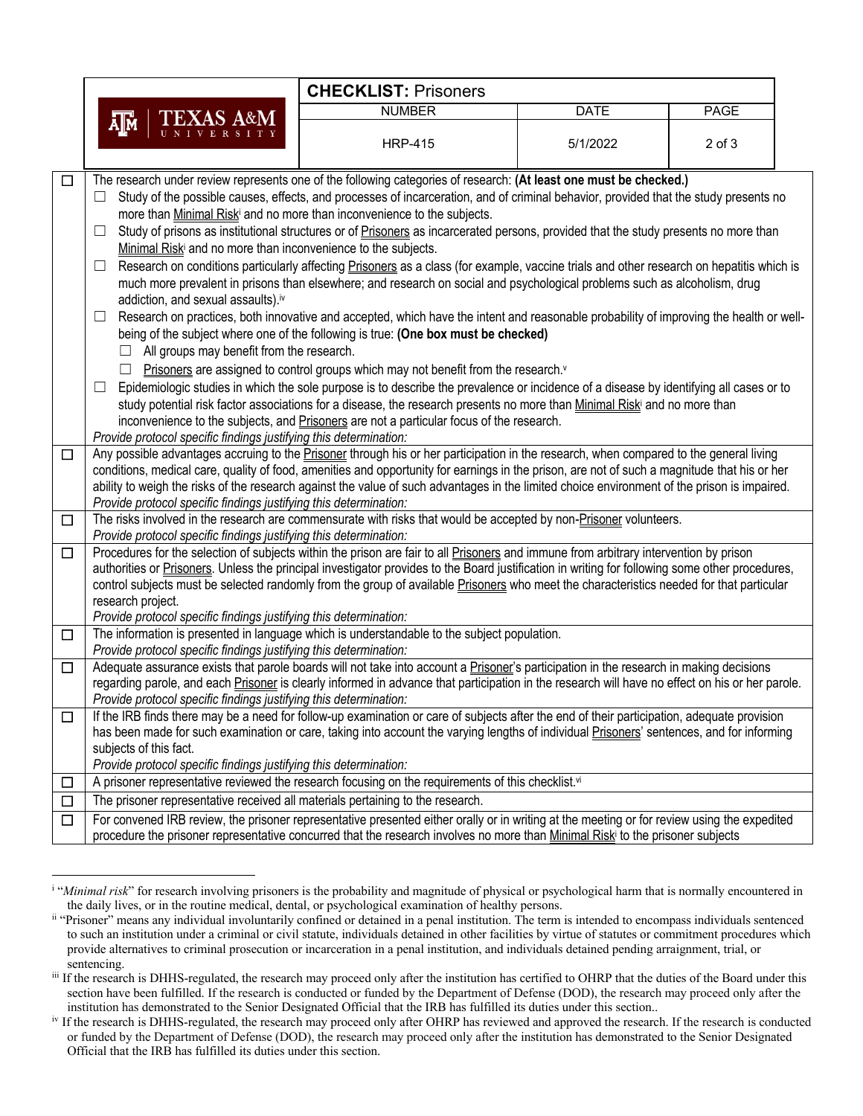|        | <b>CHECKLIST: Prisoners</b>                                                                                                                                                                                                                                                                                                                                                                                                                                                                                                                                                                                                                                                                                                                                                                                                                                                                                                                                                                                                                                                                                                                                                                                                                                                                                                                                                                                                                                                                                                                                                                                                                           |                                                                                                                                                                                                                                                                                           |             |             |  |  |
|--------|-------------------------------------------------------------------------------------------------------------------------------------------------------------------------------------------------------------------------------------------------------------------------------------------------------------------------------------------------------------------------------------------------------------------------------------------------------------------------------------------------------------------------------------------------------------------------------------------------------------------------------------------------------------------------------------------------------------------------------------------------------------------------------------------------------------------------------------------------------------------------------------------------------------------------------------------------------------------------------------------------------------------------------------------------------------------------------------------------------------------------------------------------------------------------------------------------------------------------------------------------------------------------------------------------------------------------------------------------------------------------------------------------------------------------------------------------------------------------------------------------------------------------------------------------------------------------------------------------------------------------------------------------------|-------------------------------------------------------------------------------------------------------------------------------------------------------------------------------------------------------------------------------------------------------------------------------------------|-------------|-------------|--|--|
|        | <b>TEXAS A&amp;M</b>                                                                                                                                                                                                                                                                                                                                                                                                                                                                                                                                                                                                                                                                                                                                                                                                                                                                                                                                                                                                                                                                                                                                                                                                                                                                                                                                                                                                                                                                                                                                                                                                                                  | <b>NUMBER</b>                                                                                                                                                                                                                                                                             | <b>DATE</b> | <b>PAGE</b> |  |  |
|        | ѧ∏ѧ                                                                                                                                                                                                                                                                                                                                                                                                                                                                                                                                                                                                                                                                                                                                                                                                                                                                                                                                                                                                                                                                                                                                                                                                                                                                                                                                                                                                                                                                                                                                                                                                                                                   | <b>HRP-415</b>                                                                                                                                                                                                                                                                            | 5/1/2022    | $2$ of $3$  |  |  |
| $\Box$ |                                                                                                                                                                                                                                                                                                                                                                                                                                                                                                                                                                                                                                                                                                                                                                                                                                                                                                                                                                                                                                                                                                                                                                                                                                                                                                                                                                                                                                                                                                                                                                                                                                                       |                                                                                                                                                                                                                                                                                           |             |             |  |  |
|        | The research under review represents one of the following categories of research: (At least one must be checked.)<br>Study of the possible causes, effects, and processes of incarceration, and of criminal behavior, provided that the study presents no<br>$\Box$<br>more than Minimal Riski and no more than inconvenience to the subjects.<br>Study of prisons as institutional structures or of Prisoners as incarcerated persons, provided that the study presents no more than<br>⊔<br>Minimal Riski and no more than inconvenience to the subjects.<br>Research on conditions particularly affecting Prisoners as a class (for example, vaccine trials and other research on hepatitis which is<br>⊔<br>much more prevalent in prisons than elsewhere; and research on social and psychological problems such as alcoholism, drug<br>addiction, and sexual assaults).iv<br>Research on practices, both innovative and accepted, which have the intent and reasonable probability of improving the health or well-<br>⊔<br>being of the subject where one of the following is true: (One box must be checked)<br>All groups may benefit from the research.<br>Prisoners are assigned to control groups which may not benefit from the research.v<br>Epidemiologic studies in which the sole purpose is to describe the prevalence or incidence of a disease by identifying all cases or to<br>$\overline{\phantom{a}}$<br>study potential risk factor associations for a disease, the research presents no more than Minimal Risk and no more than<br>inconvenience to the subjects, and Prisoners are not a particular focus of the research. |                                                                                                                                                                                                                                                                                           |             |             |  |  |
|        | Provide protocol specific findings justifying this determination:                                                                                                                                                                                                                                                                                                                                                                                                                                                                                                                                                                                                                                                                                                                                                                                                                                                                                                                                                                                                                                                                                                                                                                                                                                                                                                                                                                                                                                                                                                                                                                                     |                                                                                                                                                                                                                                                                                           |             |             |  |  |
| □      | Any possible advantages accruing to the Prisoner through his or her participation in the research, when compared to the general living<br>conditions, medical care, quality of food, amenities and opportunity for earnings in the prison, are not of such a magnitude that his or her<br>ability to weigh the risks of the research against the value of such advantages in the limited choice environment of the prison is impaired.<br>Provide protocol specific findings justifying this determination:                                                                                                                                                                                                                                                                                                                                                                                                                                                                                                                                                                                                                                                                                                                                                                                                                                                                                                                                                                                                                                                                                                                                           |                                                                                                                                                                                                                                                                                           |             |             |  |  |
| $\Box$ | Provide protocol specific findings justifying this determination:                                                                                                                                                                                                                                                                                                                                                                                                                                                                                                                                                                                                                                                                                                                                                                                                                                                                                                                                                                                                                                                                                                                                                                                                                                                                                                                                                                                                                                                                                                                                                                                     | The risks involved in the research are commensurate with risks that would be accepted by non-Prisoner volunteers.                                                                                                                                                                         |             |             |  |  |
| $\Box$ | Procedures for the selection of subjects within the prison are fair to all Prisoners and immune from arbitrary intervention by prison<br>authorities or Prisoners. Unless the principal investigator provides to the Board justification in writing for following some other procedures,<br>control subjects must be selected randomly from the group of available Prisoners who meet the characteristics needed for that particular<br>research project.<br>Provide protocol specific findings justifying this determination:                                                                                                                                                                                                                                                                                                                                                                                                                                                                                                                                                                                                                                                                                                                                                                                                                                                                                                                                                                                                                                                                                                                        |                                                                                                                                                                                                                                                                                           |             |             |  |  |
| $\Box$ | Provide protocol specific findings justifying this determination:                                                                                                                                                                                                                                                                                                                                                                                                                                                                                                                                                                                                                                                                                                                                                                                                                                                                                                                                                                                                                                                                                                                                                                                                                                                                                                                                                                                                                                                                                                                                                                                     | The information is presented in language which is understandable to the subject population.                                                                                                                                                                                               |             |             |  |  |
| $\Box$ | Provide protocol specific findings justifying this determination:                                                                                                                                                                                                                                                                                                                                                                                                                                                                                                                                                                                                                                                                                                                                                                                                                                                                                                                                                                                                                                                                                                                                                                                                                                                                                                                                                                                                                                                                                                                                                                                     | Adequate assurance exists that parole boards will not take into account a Prisoner's participation in the research in making decisions<br>regarding parole, and each Prisoner is clearly informed in advance that participation in the research will have no effect on his or her parole. |             |             |  |  |
| $\Box$ | If the IRB finds there may be a need for follow-up examination or care of subjects after the end of their participation, adequate provision<br>has been made for such examination or care, taking into account the varying lengths of individual Prisoners' sentences, and for informing<br>subjects of this fact.<br>Provide protocol specific findings justifying this determination:                                                                                                                                                                                                                                                                                                                                                                                                                                                                                                                                                                                                                                                                                                                                                                                                                                                                                                                                                                                                                                                                                                                                                                                                                                                               |                                                                                                                                                                                                                                                                                           |             |             |  |  |
| □      |                                                                                                                                                                                                                                                                                                                                                                                                                                                                                                                                                                                                                                                                                                                                                                                                                                                                                                                                                                                                                                                                                                                                                                                                                                                                                                                                                                                                                                                                                                                                                                                                                                                       | A prisoner representative reviewed the research focusing on the requirements of this checklist.vi                                                                                                                                                                                         |             |             |  |  |
| □      | The prisoner representative received all materials pertaining to the research.                                                                                                                                                                                                                                                                                                                                                                                                                                                                                                                                                                                                                                                                                                                                                                                                                                                                                                                                                                                                                                                                                                                                                                                                                                                                                                                                                                                                                                                                                                                                                                        |                                                                                                                                                                                                                                                                                           |             |             |  |  |
| $\Box$ | For convened IRB review, the prisoner representative presented either orally or in writing at the meeting or for review using the expedited<br>procedure the prisoner representative concurred that the research involves no more than Minimal Risk to the prisoner subjects                                                                                                                                                                                                                                                                                                                                                                                                                                                                                                                                                                                                                                                                                                                                                                                                                                                                                                                                                                                                                                                                                                                                                                                                                                                                                                                                                                          |                                                                                                                                                                                                                                                                                           |             |             |  |  |

<sup>&</sup>lt;sup>i</sup> "*Minimal risk*" for research involving prisoners is the probability and magnitude of physical or psychological harm that is normally encountered in the daily lives, or in the routine medical, dental, or psychological examination of healthy persons.

ii "Prisoner" means any individual involuntarily confined or detained in a penal institution. The term is intended to encompass individuals sentenced to such an institution under a criminal or civil statute, individuals detained in other facilities by virtue of statutes or commitment procedures which provide alternatives to criminal prosecution or incarceration in a penal institution, and individuals detained pending arraignment, trial, or sentencing.

iii If the research is DHHS-regulated, the research may proceed only after the institution has certified to OHRP that the duties of the Board under this section have been fulfilled. If the research is conducted or funded by the Department of Defense (DOD), the research may proceed only after the institution has demonstrated to the Senior Designated Official that the IRB has fulfilled its duties under this section..

iv If the research is DHHS-regulated, the research may proceed only after OHRP has reviewed and approved the research. If the research is conducted or funded by the Department of Defense (DOD), the research may proceed only after the institution has demonstrated to the Senior Designated Official that the IRB has fulfilled its duties under this section.